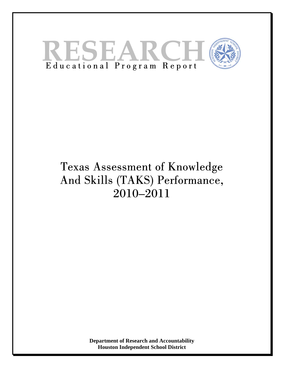

# Texas Assessment of Knowledge And Skills (TAKS) Performance, 2010–2011

**Department of Research and Accountability Houston Independent School District**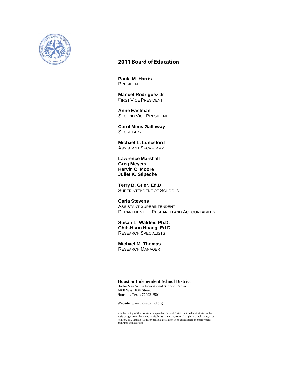

#### **2011 Board of Education**

**Paula M. Harris**  PRESIDENT

 **Manuel Rodríguez Jr**  FIRST VICE PRESIDENT

 **Anne Eastman**  SECOND VICE PRESIDENT

 **Carol Mims Galloway SECRETARY** 

 **Michael L. Lunceford**  ASSISTANT SECRETARY

 **Lawrence Marshall Greg Meyers Harvin C. Moore Juliet K. Stipeche**

 **Terry B. Grier, Ed.D.**  SUPERINTENDENT OF SCHOOLS

 **Carla Stevens**  ASSISTANT SUPERINTENDENT DEPARTMENT OF RESEARCH AND ACCOUNTABILITY

 **Susan L. Walden, Ph.D. Chih-Hsun Huang, Ed.D.**  RESEARCH SPECIALISTS

 **Michael M. Thomas**  RESEARCH MANAGER

**Houston Independent School District** 

Hattie Mae White Educational Support Center 4400 West 18th Street Houston, Texas 77092-8501

Website: www.houstonisd.org

It is the policy of the Houston Independent School District not to discriminate on the basis of age, color, handicap or disability, ancestry, national origin, marital status, race, religion, sex, veteran status, or political affiliation in its educational or employment programs and activities.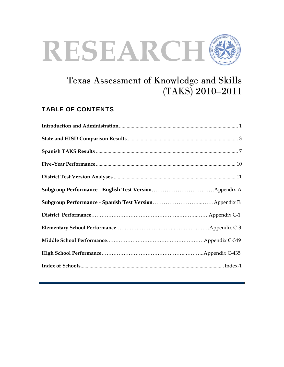

## Texas Assessment of Knowledge and Skills (TAKS) 2010–2011

## TABLE OF CONTENTS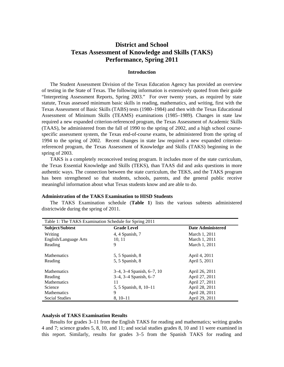### **District and School Texas Assessment of Knowledge and Skills (TAKS) Performance, Spring 2011**

#### **Introduction**

The Student Assessment Division of the Texas Education Agency has provided an overview of testing in the State of Texas. The following information is extensively quoted from their guide "Interpreting Assessment Reports, Spring 2003." For over twenty years, as required by state statute, Texas assessed minimum basic skills in reading, mathematics, and writing, first with the Texas Assessment of Basic Skills (TABS) tests (1980–1984) and then with the Texas Educational Assessment of Minimum Skills (TEAMS) examinations (1985–1989). Changes in state law required a new expanded criterion-referenced program, the Texas Assessment of Academic Skills (TAAS), be administered from the fall of 1990 to the spring of 2002, and a high school coursespecific assessment system, the Texas end-of-course exams, be administered from the spring of 1994 to the spring of 2002. Recent changes in state law required a new expanded criterionreferenced program, the Texas Assessment of Knowledge and Skills (TAKS) beginning in the spring of 2003.

TAKS is a completely reconceived testing program. It includes more of the state curriculum, the Texas Essential Knowledge and Skills (TEKS), than TAAS did and asks questions in more authentic ways. The connection between the state curriculum, the TEKS, and the TAKS program has been strengthened so that students, schools, parents, and the general public receive meaningful information about what Texas students know and are able to do.

|                       | Table 1: The TAKS Examination Schedule for Spring 2011 |                          |  |  |  |  |  |  |
|-----------------------|--------------------------------------------------------|--------------------------|--|--|--|--|--|--|
| Subject/Subtest       | <b>Grade Level</b>                                     | <b>Date Administered</b> |  |  |  |  |  |  |
| Writing               | 4, 4 Spanish, 7                                        | March 1, 2011            |  |  |  |  |  |  |
| English/Language Arts | 10, 11                                                 | March 1, 2011            |  |  |  |  |  |  |
| Reading               | 9                                                      | March 1, 2011            |  |  |  |  |  |  |
|                       |                                                        |                          |  |  |  |  |  |  |
| <b>Mathematics</b>    | 5, 5 Spanish, 8                                        | April 4, 2011            |  |  |  |  |  |  |
| Reading               | 5, 5 Spanish, 8                                        | April 5, 2011            |  |  |  |  |  |  |
| <b>Mathematics</b>    | $3-4$ , $3-4$ Spanish, $6-7$ , 10                      | April 26, 2011           |  |  |  |  |  |  |
| Reading               | 3-4, 3-4 Spanish, 6-7                                  | April 27, 2011           |  |  |  |  |  |  |
| <b>Mathematics</b>    | 11                                                     | April 27, 2011           |  |  |  |  |  |  |
| Science               | 5, 5 Spanish, 8, 10–11                                 | April 28, 2011           |  |  |  |  |  |  |
| <b>Mathematics</b>    | 9                                                      | April 28, 2011           |  |  |  |  |  |  |
| Social Studies        | $8, 10-11$                                             | April 29, 2011           |  |  |  |  |  |  |

#### **Administration of the TAKS Examination to HISD Students**

The TAKS Examination schedule (**Table 1**) lists the various subtests administered districtwide during the spring of 2011.

#### **Analysis of TAKS Examination Results**

Results for grades 3–11 from the English TAKS for reading and mathematics; writing grades 4 and 7; science grades 5, 8, 10, and 11; and social studies grades 8, 10 and 11 were examined in this report. Similarly, results for grades 3–5 from the Spanish TAKS for reading and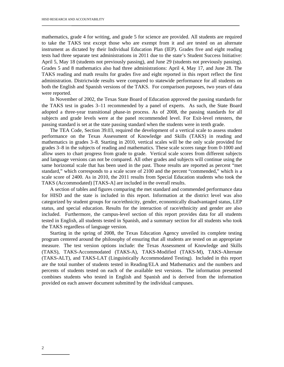mathematics, grade 4 for writing, and grade 5 for science are provided. All students are required to take the TAKS test except those who are exempt from it and are tested on an alternate instrument as dictated by their Individual Education Plan (IEP). Grades five and eight reading tests had three separate test administrations in 2011 due to the state's Student Success Initiative: April 5, May 18 (students not previously passing), and June 29 (students not previously passing). Grades 5 and 8 mathematics also had three administrations: April 4, May 17, and June 28. The TAKS reading and math results for grades five and eight reported in this report reflect the first administration. Districtwide results were compared to statewide performance for all students on both the English and Spanish versions of the TAKS. For comparison purposes, two years of data were reported.

In November of 2002, the Texas State Board of Education approved the passing standards for the TAKS test in grades 3–11 recommended by a panel of experts. As such, the State Board adopted a three-year transitional phase-in process. As of 2008, the passing standards for all subjects and grade levels were at the panel recommended level. For Exit-level retesters, the passing standard is set at the state passing standard when the students were in tenth grade.

The TEA Code, Section 39.03, required the development of a vertical scale to assess student performance on the Texas Assessment of Knowledge and Skills (TAKS) in reading and mathematics in grades 3–8. Starting in 2010, vertical scales will be the only scale provided for grades 3–8 in the subjects of reading and mathematics. These scale scores range from 0-1000 and allow users to chart progress from grade to grade. Vertical scale scores from different subjects and language versions can not be compared. All other grades and subjects will continue using the same horizontal scale that has been used in the past. Those results are reported as percent "met standard," which corresponds to a scale score of 2100 and the percent "commended," which is a scale score of 2400. As in 2010, the 2011 results from Special Education students who took the TAKS (Accommodated) [TAKS-A] are included in the overall results.

A section of tables and figures comparing the met standard and commended performance data for HISD and the state is included in this report. Information at the district level was also categorized by student groups for race/ethnicity, gender, economically disadvantaged status, LEP status, and special education. Results for the interaction of race/ethnicity and gender are also included. Furthermore, the campus-level section of this report provides data for all students tested in English, all students tested in Spanish, and a summary section for all students who took the TAKS regardless of language version.

Starting in the spring of 2008, the Texas Education Agency unveiled its complete testing program centered around the philosophy of ensuring that all students are tested on an appropriate measure. The test version options include: the Texas Assessment of Knowledge and Skills (TAKS), TAKS-Accommodated (TAKS-A), TAKS-Modified (TAKS-M), TAKS-Alternate (TAKS-ALT), and TAKS-LAT (Linguistically Accommodated Testing). Included in this report are the total number of students tested in Reading/ELA and Mathematics and the numbers and percents of students tested on each of the available test versions. The information presented combines students who tested in English and Spanish and is derived from the information provided on each answer document submitted by the individual campuses.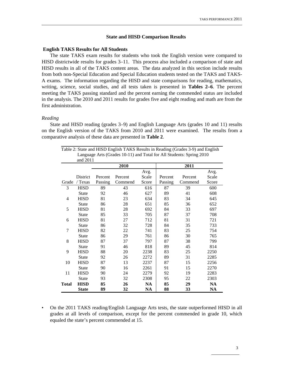#### **State and HISD Comparison Results**

#### **English TAKS Results for All Students**

The state TAKS exam results for students who took the English version were compared to HISD districtwide results for grades 3–11. This process also included a comparison of state and HISD results in all of the TAKS content areas. The data analyzed in this section include results from both non-Special Education and Special Education students tested on the TAKS and TAKS-A exams. The information regarding the HISD and state comparisons for reading, mathematics, writing, science, social studies, and all tests taken is presented in **Tables 2–6**. The percent meeting the TAKS passing standard and the percent earning the commended status are included in the analysis. The 2010 and 2011 results for grades five and eight reading and math are from the first administration.

#### *Reading*

State and HISD reading (grades 3–9) and English Language Arts (grades 10 and 11) results on the English version of the TAKS from 2010 and 2011 were examined. The results from a comparative analysis of these data are presented in **Table 2**.

| Table 2: State and HISD English TAKS Results in Reading (Grades 3-9) and English |                 |         |         |       |         |                                                                      |           |  |  |
|----------------------------------------------------------------------------------|-----------------|---------|---------|-------|---------|----------------------------------------------------------------------|-----------|--|--|
|                                                                                  |                 |         |         |       |         | Language Arts (Grades 10-11) and Total for All Students: Spring 2010 |           |  |  |
|                                                                                  | and 2011        |         |         |       |         |                                                                      |           |  |  |
|                                                                                  |                 |         | 2010    |       |         | 2011                                                                 |           |  |  |
|                                                                                  |                 |         |         | Avg.  |         |                                                                      | Avg.      |  |  |
|                                                                                  | <b>District</b> | Percent | Percent | Scale | Percent | Percent                                                              | Scale     |  |  |
| Grade                                                                            | / Texas         | Passing | Commend | Score | Passing | Commend                                                              | Score     |  |  |
| 3                                                                                | <b>HISD</b>     | 89      | 43      | 616   | 87      | 39                                                                   | 600       |  |  |
|                                                                                  | <b>State</b>    | 92      | 46      | 627   | 89      | 41                                                                   | 608       |  |  |
| $\overline{4}$                                                                   | <b>HISD</b>     | 81      | 23      | 634   | 83      | 34                                                                   | 645       |  |  |
|                                                                                  | <b>State</b>    | 86      | 28      | 651   | 85      | 36                                                                   | 652       |  |  |
| 5                                                                                | <b>HISD</b>     | 81      | 28      | 692   | 84      | 33                                                                   | 697       |  |  |
|                                                                                  | <b>State</b>    | 85      | 33      | 705   | 87      | 37                                                                   | 708       |  |  |
| 6                                                                                | <b>HISD</b>     | 81      | 27      | 712   | 81      | 31                                                                   | 721       |  |  |
|                                                                                  | <b>State</b>    | 86      | 32      | 728   | 84      | 35                                                                   | 733       |  |  |
| 7                                                                                | <b>HISD</b>     | 82      | 22      | 741   | 83      | 25                                                                   | 754       |  |  |
|                                                                                  | <b>State</b>    | 86      | 29      | 761   | 86      | 30                                                                   | 765       |  |  |
| 8                                                                                | <b>HISD</b>     | 87      | 37      | 797   | 87      | 38                                                                   | 799       |  |  |
|                                                                                  | <b>State</b>    | 91      | 46      | 818   | 89      | 45                                                                   | 814       |  |  |
| 9                                                                                | <b>HISD</b>     | 88      | 20      | 2238  | 83      | 25                                                                   | 2250      |  |  |
|                                                                                  | <b>State</b>    | 92      | 26      | 2272  | 89      | 31                                                                   | 2285      |  |  |
| 10                                                                               | <b>HISD</b>     | 87      | 13      | 2237  | 87      | 15                                                                   | 2256      |  |  |
|                                                                                  | <b>State</b>    | 90      | 16      | 2261  | 91      | 15                                                                   | 2270      |  |  |
| 11                                                                               | <b>HISD</b>     | 90      | 24      | 2279  | 92      | 19                                                                   | 2283      |  |  |
|                                                                                  | <b>State</b>    | 93      | 32      | 2308  | 95      | 22                                                                   | 2303      |  |  |
| <b>Total</b>                                                                     | <b>HISD</b>     | 85      | 26      | NA    | 85      | 29                                                                   | <b>NA</b> |  |  |
|                                                                                  | <b>State</b>    | 89      | 32      | NA    | 88      | 33                                                                   | <b>NA</b> |  |  |

• On the 2011 TAKS reading/English Language Arts tests, the state outperformed HISD in all grades at all levels of comparison, except for the percent commended in grade 10, which equaled the state's percent commended at 15.

3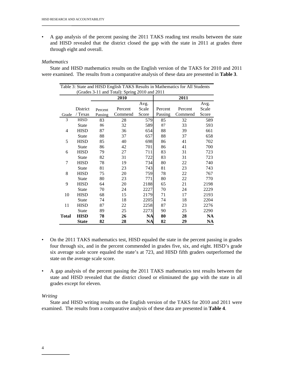• A gap analysis of the percent passing the 2011 TAKS reading test results between the state and HISD revealed that the district closed the gap with the state in 2011 at grades three through eight and overall.

#### *Mathematics*

State and HISD mathematics results on the English version of the TAKS for 2010 and 2011 were examined. The results from a comparative analysis of these data are presented in **Table 3**.

|              | Table 3: State and HISD English TAKS Results in Mathematics for All Students |         |         |           |         |         |       |  |  |
|--------------|------------------------------------------------------------------------------|---------|---------|-----------|---------|---------|-------|--|--|
|              | (Grades 3-11 and Total): Spring 2010 and 2011                                |         |         |           |         |         |       |  |  |
| 2010         |                                                                              |         |         |           |         | 2011    |       |  |  |
|              |                                                                              |         |         | Avg.      |         |         | Avg.  |  |  |
|              | District                                                                     | Percent | Percent | Scale     | Percent | Percent | Scale |  |  |
| Grade        | / Texas                                                                      | Passing | Commend | Score     | Passing | Commend | Score |  |  |
| 3            | <b>HISD</b>                                                                  | 83      | 28      | 579       | 85      | 32      | 589   |  |  |
|              | <b>State</b>                                                                 | 86      | 32      | 589       | 87      | 33      | 593   |  |  |
| 4            | <b>HISD</b>                                                                  | 87      | 36      | 654       | 88      | 39      | 661   |  |  |
|              | <b>State</b>                                                                 | 88      | 37      | 657       | 88      | 37      | 658   |  |  |
| 5            | <b>HISD</b>                                                                  | 85      | 40      | 698       | 86      | 41      | 702   |  |  |
|              | <b>State</b>                                                                 | 86      | 42      | 701       | 86      | 41      | 700   |  |  |
| 6            | <b>HISD</b>                                                                  | 79      | 27      | 711       | 83      | 31      | 723   |  |  |
|              | <b>State</b>                                                                 | 82      | 31      | 722       | 83      | 31      | 723   |  |  |
| 7            | <b>HISD</b>                                                                  | 78      | 19      | 734       | 80      | 22      | 740   |  |  |
|              | <b>State</b>                                                                 | 81      | 23      | 743       | 81      | 23      | 743   |  |  |
| 8            | <b>HISD</b>                                                                  | 75      | 20      | 759       | 78      | 22      | 767   |  |  |
|              | <b>State</b>                                                                 | 80      | 23      | 771       | 80      | 22      | 770   |  |  |
| 9            | <b>HISD</b>                                                                  | 64      | 20      | 2188      | 65      | 21      | 2198  |  |  |
|              | <b>State</b>                                                                 | 70      | 24      | 2227      | 70      | 24      | 2229  |  |  |
| 10           | <b>HISD</b>                                                                  | 68      | 15      | 2179      | 71      | 17      | 2193  |  |  |
|              | <b>State</b>                                                                 | 74      | 18      | 2205      | 74      | 18      | 2204  |  |  |
| 11           | <b>HISD</b>                                                                  | 87      | 22      | 2258      | 87      | 23      | 2276  |  |  |
|              | <b>State</b>                                                                 | 89      | 25      | 2273      | 90      | 25      | 2290  |  |  |
| <b>Total</b> | <b>HISD</b>                                                                  | 78      | 26      | <b>NA</b> | 80      | 28      | NA    |  |  |
|              | <b>State</b>                                                                 | 82      | 28      | <b>NA</b> | 82      | 29      | NA    |  |  |

- On the 2011 TAKS mathematics test, HISD equaled the state in the percent passing in grades four through six, and in the percent commended in grades five, six, and eight. HISD's grade six average scale score equaled the state's at 723, and HISD fifth graders outperformed the state on the average scale score.
- A gap analysis of the percent passing the 2011 TAKS mathematics test results between the state and HISD revealed that the district closed or eliminated the gap with the state in all grades except for eleven.

#### *Writing*

State and HISD writing results on the English version of the TAKS for 2010 and 2011 were examined. The results from a comparative analysis of these data are presented in **Table 4**.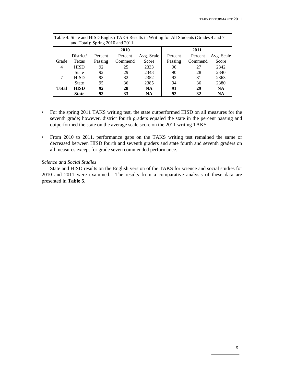|              |              |         | and Total): Spring $2010$ and $2011$ |            |         |         |            |  |
|--------------|--------------|---------|--------------------------------------|------------|---------|---------|------------|--|
|              |              |         | 2010                                 |            | 2011    |         |            |  |
|              | District/    | Percent | Percent                              | Avg. Scale | Percent | Percent | Avg. Scale |  |
| Grade        | Texas        | Passing | Commend                              | Score      | Passing | Commend | Score      |  |
| 4            | <b>HISD</b>  | 92      | 25                                   | 2333       | 90      | 27      | 2342       |  |
|              | <b>State</b> | 92      | 29                                   | 2343       | 90      | 28      | 2340       |  |
| 7            | <b>HISD</b>  | 93      | 32                                   | 2352       | 93      | 31      | 2363       |  |
|              | <b>State</b> | 95      | 36                                   | 2385       | 94      | 36      | 2380       |  |
| <b>Total</b> | <b>HISD</b>  | 92      | 28                                   | <b>NA</b>  | 91      | 29      | <b>NA</b>  |  |
|              | <b>State</b> | 93      | 33                                   | <b>NA</b>  | 92      | 32      | <b>NA</b>  |  |

Table 4: State and HISD English TAKS Results in Writing for All Students (Grades 4 and 7 and Total): Spring 2010 and 2011

- For the spring 2011 TAKS writing test, the state outperformed HISD on all measures for the seventh grade; however, district fourth graders equaled the state in the percent passing and outperformed the state on the average scale score on the 2011 writing TAKS.
- From 2010 to 2011, performance gaps on the TAKS writing test remained the same or decreased between HISD fourth and seventh graders and state fourth and seventh graders on all measures except for grade seven commended performance.

#### *Science and Social Studies*

State and HISD results on the English version of the TAKS for science and social studies for 2010 and 2011 were examined. The results from a comparative analysis of these data are presented in **Table 5**.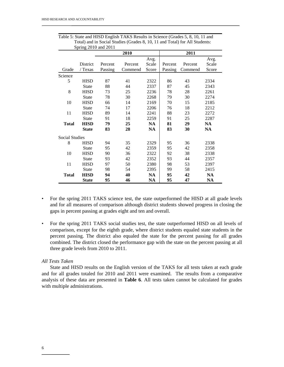|                       |              |         | 2010    |           | 2011    |         |           |  |
|-----------------------|--------------|---------|---------|-----------|---------|---------|-----------|--|
|                       |              |         |         | Avg.      |         |         | Avg.      |  |
|                       | District     | Percent | Percent | Scale     | Percent | Percent | Scale     |  |
| Grade                 | / Texas      | Passing | Commend | Score     | Passing | Commend | Score     |  |
| Science               |              |         |         |           |         |         |           |  |
| 5                     | <b>HISD</b>  | 87      | 41      | 2322      | 86      | 43      | 2334      |  |
|                       | <b>State</b> | 88      | 44      | 2337      | 87      | 45      | 2343      |  |
| 8                     | <b>HISD</b>  | 73      | 25      | 2236      | 78      | 28      | 2261      |  |
|                       | <b>State</b> | 78      | 30      | 2268      | 79      | 30      | 2274      |  |
| 10                    | <b>HISD</b>  | 66      | 14      | 2169      | 70      | 15      | 2185      |  |
|                       | <b>State</b> | 74      | 17      | 2206      | 76      | 18      | 2212      |  |
| 11                    | <b>HISD</b>  | 89      | 14      | 2241      | 88      | 23      | 2272      |  |
|                       | <b>State</b> | 91      | 18      | 2259      | 91      | 25      | 2287      |  |
| <b>Total</b>          | <b>HISD</b>  | 79      | 25      | <b>NA</b> | 81      | 29      | <b>NA</b> |  |
|                       | <b>State</b> | 83      | 28      | NA        | 83      | 30      | NA        |  |
| <b>Social Studies</b> |              |         |         |           |         |         |           |  |
| 8                     | <b>HISD</b>  | 94      | 35      | 2329      | 95      | 36      | 2338      |  |
|                       | <b>State</b> | 95      | 42      | 2359      | 95      | 42      | 2358      |  |
| 10                    | <b>HISD</b>  | 90      | 36      | 2322      | 92      | 38      | 2338      |  |
|                       | <b>State</b> | 93      | 42      | 2352      | 93      | 44      | 2357      |  |
| 11                    | <b>HISD</b>  | 97      | 50      | 2380      | 98      | 53      | 2397      |  |
|                       | <b>State</b> | 98      | 54      | 2395      | 99      | 58      | 2415      |  |
| <b>Total</b>          | <b>HISD</b>  | 94      | 40      | <b>NA</b> | 95      | 42      | <b>NA</b> |  |
|                       | <b>State</b> | 95      | 46      | NA        | 95      | 47      | <b>NA</b> |  |

Table 5: State and HISD English TAKS Results in Science (Grades 5, 8, 10, 11 and Total) and in Social Studies (Grades 8, 10, 11 and Total) for All Students: Spring 2010 and 2011

- For the spring 2011 TAKS science test, the state outperformed the HISD at all grade levels and for all measures of comparison although district students showed progress in closing the gaps in percent passing at grades eight and ten and overall.
- For the spring 2011 TAKS social studies test, the state outperformed HISD on all levels of comparison, except for the eighth grade, where district students equaled state students in the percent passing. The district also equaled the state for the percent passing for all grades combined. The district closed the performance gap with the state on the percent passing at all three grade levels from 2010 to 2011.

#### *All Tests Taken*

State and HISD results on the English version of the TAKS for all tests taken at each grade and for all grades totaled for 2010 and 2011 were examined. The results from a comparative analysis of these data are presented in **Table 6**. All tests taken cannot be calculated for grades with multiple administrations.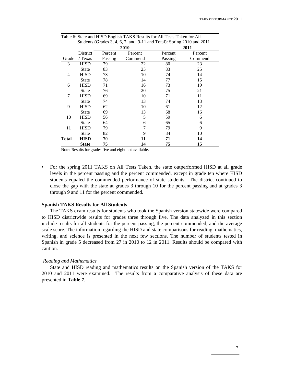|       | Students (Grades 3, 4, 6, 7, and 9-11 and Total): Spring 2010 and 2011 |         |         |         |         |  |  |  |  |  |
|-------|------------------------------------------------------------------------|---------|---------|---------|---------|--|--|--|--|--|
|       |                                                                        |         | 2010    | 2011    |         |  |  |  |  |  |
|       | District                                                               | Percent | Percent | Percent | Percent |  |  |  |  |  |
| Grade | / Texas                                                                | Passing | Commend | Passing | Commend |  |  |  |  |  |
| 3     | <b>HISD</b>                                                            | 79      | 22      | 80      | 23      |  |  |  |  |  |
|       | <b>State</b>                                                           | 83      | 25      | 83      | 25      |  |  |  |  |  |
| 4     | HISD                                                                   | 73      | 10      | 74      | 14      |  |  |  |  |  |
|       | <b>State</b>                                                           | 78      | 14      | 77      | 15      |  |  |  |  |  |
| 6     | <b>HISD</b>                                                            | 71      | 16      | 73      | 19      |  |  |  |  |  |
|       | <b>State</b>                                                           | 76      | 20      | 75      | 21      |  |  |  |  |  |
| 7     | <b>HISD</b>                                                            | 69      | 10      | 71      | 11      |  |  |  |  |  |
|       | <b>State</b>                                                           | 74      | 13      | 74      | 13      |  |  |  |  |  |
| 9     | <b>HISD</b>                                                            | 62      | 10      | 61      | 12      |  |  |  |  |  |
|       | <b>State</b>                                                           | 69      | 13      | 68      | 16      |  |  |  |  |  |
| 10    | <b>HISD</b>                                                            | 56      | 5       | 59      | 6       |  |  |  |  |  |
|       | <b>State</b>                                                           | 64      | 6       | 65      | 6       |  |  |  |  |  |
| 11    | <b>HISD</b>                                                            | 79      | 7       | 79      | 9       |  |  |  |  |  |
|       | State                                                                  | 82      | 9       | 84      | 10      |  |  |  |  |  |
| Total | <b>HISD</b>                                                            | 70      | 11      | 71      | 14      |  |  |  |  |  |
|       | <b>State</b>                                                           | 75      | 14      | 75      | 15      |  |  |  |  |  |

Table 6: State and HISD English TAKS Results for All Tests Taken for All

Note: Results for grades five and eight not available.

• For the spring 2011 TAKS on All Tests Taken, the state outperformed HISD at all grade levels in the percent passing and the percent commended, except in grade ten where HISD students equaled the commended performance of state students. The district continued to close the gap with the state at grades 3 through 10 for the percent passing and at grades 3 through 9 and 11 for the percent commended.

#### **Spanish TAKS Results for All Students**

The TAKS exam results for students who took the Spanish version statewide were compared to HISD districtwide results for grades three through five. The data analyzed in this section include results for all students for the percent passing, the percent commended, and the average scale score. The information regarding the HISD and state comparisons for reading, mathematics, writing, and science is presented in the next few sections. The number of students tested in Spanish in grade 5 decreased from 27 in 2010 to 12 in 2011. Results should be compared with caution.

#### *Reading and Mathematics*

State and HISD reading and mathematics results on the Spanish version of the TAKS for 2010 and 2011 were examined. The results from a comparative analysis of these data are presented in **Table 7**.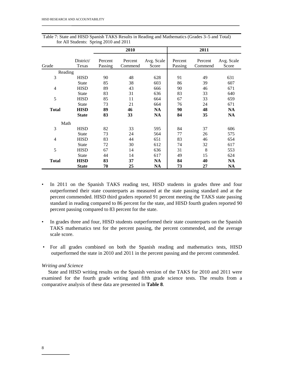|                |                    |                    | 2010               |                     | 2011               |                    |                     |  |
|----------------|--------------------|--------------------|--------------------|---------------------|--------------------|--------------------|---------------------|--|
| Grade          | District/<br>Texas | Percent<br>Passing | Percent<br>Commend | Avg. Scale<br>Score | Percent<br>Passing | Percent<br>Commend | Avg. Scale<br>Score |  |
| Reading        |                    |                    |                    |                     |                    |                    |                     |  |
| 3              | <b>HISD</b>        | 90                 | 48                 | 628                 | 91                 | 49                 | 631                 |  |
|                | <b>State</b>       | 85                 | 38                 | 603                 | 86                 | 39                 | 607                 |  |
| 4              | <b>HISD</b>        | 89                 | 43                 | 666                 | 90                 | 46                 | 671                 |  |
|                | <b>State</b>       | 83                 | 31                 | 636                 | 83                 | 33                 | 640                 |  |
| 5              | <b>HISD</b>        | 85                 | 11                 | 664                 | 67                 | 33                 | 659                 |  |
|                | <b>State</b>       | 73                 | 21                 | 664                 | 76                 | 24                 | 671                 |  |
| <b>Total</b>   | <b>HISD</b>        | 89                 | 46                 | <b>NA</b>           | 90                 | 48                 | <b>NA</b>           |  |
|                | <b>State</b>       | 83                 | 33                 | NA                  | 84                 | 35                 | <b>NA</b>           |  |
| Math           |                    |                    |                    |                     |                    |                    |                     |  |
| 3              | <b>HISD</b>        | 82                 | 33                 | 595                 | 84                 | 37                 | 606                 |  |
|                | <b>State</b>       | 73                 | 24                 | 564                 | 77                 | 26                 | 575                 |  |
| $\overline{4}$ | <b>HISD</b>        | 83                 | 44                 | 651                 | 83                 | 46                 | 654                 |  |
|                | <b>State</b>       | 72                 | 30                 | 612                 | 74                 | 32                 | 617                 |  |
| 5              | <b>HISD</b>        | 67                 | 14                 | 636                 | 31                 | 8                  | 553                 |  |
|                | <b>State</b>       | 44                 | 14                 | 617                 | 49                 | 15                 | 624                 |  |
| <b>Total</b>   | <b>HISD</b>        | 83                 | 37                 | <b>NA</b>           | 84                 | 40                 | <b>NA</b>           |  |
|                | <b>State</b>       | 70                 | 25                 | <b>NA</b>           | 73                 | 27                 | <b>NA</b>           |  |

Table 7: State and HISD Spanish TAKS Results in Reading and Mathematics (Grades 3–5 and Total) for All Students: Spring 2010 and 2011

- In 2011 on the Spanish TAKS reading test, HISD students in grades three and four outperformed their state counterparts as measured at the state passing standard and at the percent commended. HISD third graders reported 91 percent meeting the TAKS state passing standard in reading compared to 86 percent for the state, and HISD fourth graders reported 90 percent passing compared to 83 percent for the state.
- In grades three and four, HISD students outperformed their state counterparts on the Spanish TAKS mathematics test for the percent passing, the percent commended, and the average scale score.
- For all grades combined on both the Spanish reading and mathematics tests, HISD outperformed the state in 2010 and 2011 in the percent passing and the percent commended.

#### *Writing and Science*

State and HISD writing results on the Spanish version of the TAKS for 2010 and 2011 were examined for the fourth grade writing and fifth grade science tests. The results from a comparative analysis of these data are presented in **Table 8**.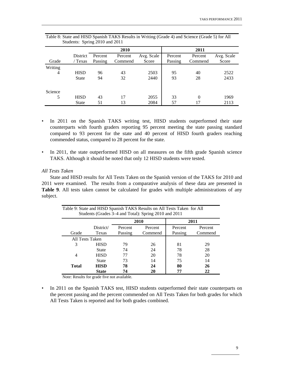|         | Students: Spring $2010$ and $2011$ |                    |                    |                     |                    |                    |                     |  |  |  |
|---------|------------------------------------|--------------------|--------------------|---------------------|--------------------|--------------------|---------------------|--|--|--|
|         |                                    |                    | 2010               |                     | 2011               |                    |                     |  |  |  |
| Grade   | District<br>/ Texas                | Percent<br>Passing | Percent<br>Commend | Avg. Scale<br>Score | Percent<br>Passing | Percent<br>Commend | Avg. Scale<br>Score |  |  |  |
| Writing |                                    |                    |                    |                     |                    |                    |                     |  |  |  |
| 4       | <b>HISD</b>                        | 96                 | 43                 | 2503                | 95                 | 40                 | 2522                |  |  |  |
|         | <b>State</b>                       | 94                 | 32                 | 2440                | 93                 | 28                 | 2433                |  |  |  |
| Science |                                    |                    |                    |                     |                    |                    |                     |  |  |  |
| 5       | <b>HISD</b>                        | 43                 | 17                 | 2055                | 33                 | $\theta$           | 1969                |  |  |  |
|         | State                              | 51                 | 13                 | 2084                | 57                 |                    | 2113                |  |  |  |

| Table 8: State and HISD Spanish TAKS Results in Writing (Grade 4) and Science (Grade 5) for All |                                |  |  |
|-------------------------------------------------------------------------------------------------|--------------------------------|--|--|
|                                                                                                 | Students: Spring 2010 and 2011 |  |  |

- In 2011 on the Spanish TAKS writing test, HISD students outperformed their state counterparts with fourth graders reporting 95 percent meeting the state passing standard compared to 93 percent for the state and 40 percent of HISD fourth graders reaching commended status, compared to 28 percent for the state.
- In 2011, the state outperformed HISD on all measures on the fifth grade Spanish science TAKS. Although it should be noted that only 12 HISD students were tested.

#### *All Tests Taken*

State and HISD results for All Tests Taken on the Spanish version of the TAKS for 2010 and 2011 were examined. The results from a comparative analysis of these data are presented in **Table 9**. All tests taken cannot be calculated for grades with multiple administrations of any subject.

| Table 9: State and HISD Spanish TAKS Results on All Tests Taken for All<br>Students (Grades 3–4 and Total): Spring 2010 and 2011 |              |         |         |         |         |  |  |  |
|----------------------------------------------------------------------------------------------------------------------------------|--------------|---------|---------|---------|---------|--|--|--|
|                                                                                                                                  |              |         | 2010    |         | 2011    |  |  |  |
|                                                                                                                                  | District/    | Percent | Percent | Percent | Percent |  |  |  |
| Grade                                                                                                                            | Texas        | Passing | Commend | Passing | Commend |  |  |  |
| All Tests Taken                                                                                                                  |              |         |         |         |         |  |  |  |
| 3                                                                                                                                | <b>HISD</b>  | 79      | 26      | 81      | 29      |  |  |  |
|                                                                                                                                  | <b>State</b> | 74      | 24      | 78      | 28      |  |  |  |
| 4                                                                                                                                | <b>HISD</b>  | 77      | 20      | 78      | 20      |  |  |  |
|                                                                                                                                  | <b>State</b> | 73      | 14      | 75      | 14      |  |  |  |
| <b>Total</b>                                                                                                                     | <b>HISD</b>  | 78      | 24      | 80      | 26      |  |  |  |
|                                                                                                                                  | <b>State</b> | 74      | 20      | 77      | 22      |  |  |  |

Note: Results for grade five not available.

• In 2011 on the Spanish TAKS test, HISD students outperformed their state counterparts on the percent passing and the percent commended on All Tests Taken for both grades for which All Tests Taken is reported and for both grades combined.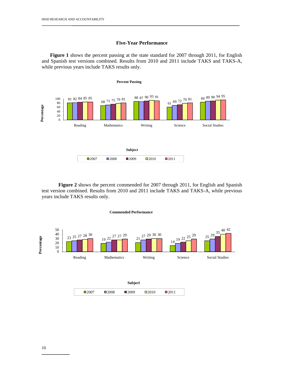#### **Five-Year Performance**

**Figure 1** shows the percent passing at the state standard for 2007 through 2011, for English and Spanish test versions combined. Results from 2010 and 2011 include TAKS and TAKS-A, while previous years include TAKS results only.



**Figure 2** shows the percent commended for 2007 through 2011, for English and Spanish test version combined. Results from 2010 and 2011 include TAKS and TAKS-A, while previous years include TAKS results only.



#### **Commended Performance**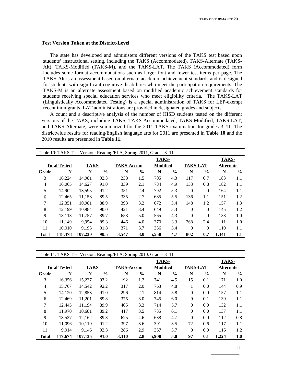#### **Test Version Taken at the District-Level**

The state has developed and administers different versions of the TAKS test based upon students' instructional setting, including the TAKS (Accommodated), TAKS-Alternate (TAKS-Alt), TAKS-Modified (TAKS-M), and the TAKS-LAT. The TAKS (Accommodated) form includes some format accommodations such as larger font and fewer test items per page. The TAKS-Alt is an assessment based on alternate academic achievement standards and is designed for students with significant cognitive disabilities who meet the participation requirements. The TAKS-M is an alternate assessment based on modified academic achievement standards for students receiving special education services who meet eligibility criteria. The TAKS-LAT (Linguistically Accommodated Testing) is a special administration of TAKS for LEP-exempt recent immigrants. LAT administrations are provided in designated grades and subjects.

A count and a descriptive analysis of the number of HISD students tested on the different versions of the TAKS, including TAKS, TAKS-Accommodated, TAKS Modified, TAKS-LAT, and TAKS-Alternate, were summarized for the 2011 TAKS examination for grades 3–11. The districtwide results for reading/English language arts for 2011 are presented in **Table 10** and the 2010 results are presented in **Table 11**.

|       | Table 10: TAKS Test Version: Reading/ELA, Spring 2011, Grades 3–11 |                |               |                   |               |                 |               |                 |               |                  |               |
|-------|--------------------------------------------------------------------|----------------|---------------|-------------------|---------------|-----------------|---------------|-----------------|---------------|------------------|---------------|
|       |                                                                    | TAKS-<br>TAKS- |               |                   |               |                 |               |                 |               |                  |               |
|       | <b>Total Tested</b>                                                | <b>TAKS</b>    |               | <b>TAKS-Accom</b> |               | <b>Modified</b> |               | <b>TAKS-LAT</b> |               | <b>Alternate</b> |               |
| Grade | N                                                                  | N              | $\frac{0}{0}$ | N                 | $\frac{0}{0}$ | N               | $\frac{6}{9}$ | N               | $\frac{6}{9}$ | N                | $\frac{6}{9}$ |
| 3     | 16,224                                                             | 14.981         | 92.3          | 238               | 1.5           | 705             | 4.3           | 117             | 0.7           | 183              | 1.1           |
| 4     | 16.065                                                             | 14.627         | 91.0          | 339               | 2.1           | 784             | 4.9           | 133             | 0.8           | 182              | 1.1           |
| 5     | 14,902                                                             | 13,595         | 91.2          | 351               | 2.4           | 792             | 5.3           | $\theta$        | $\theta$      | 164              | 1.1           |
| 6     | 12.465                                                             | 11,158         | 89.5          | 335               | 2.7           | 685             | 5.5           | 136             | 1.1           | 151              | 1.2           |
| 7     | 12,351                                                             | 10.981         | 88.9          | 393               | 3.2           | 672             | 5.4           | 148             | 1.2           | 157              | 1.3           |
| 8     | 12,199                                                             | 10.984         | 90.0          | 421               | 3.4           | 649             | 5.3           | $\theta$        | $\theta$      | 145              | 1.2           |
| 9     | 13.113                                                             | 11.757         | 89.7          | 653               | 5.0           | 565             | 4.3           | $\theta$        | $\theta$      | 138              | 1.0           |
| 10    | 11,149                                                             | 9.954          | 89.3          | 446               | 4.0           | 370             | 3.3           | 268             | 2.4           | 111              | 1.0           |
| 11    | 10.010                                                             | 9.193          | 91.8          | 371               | 3.7           | 336             | 3.4           | $\Omega$        | $\Omega$      | 110              | 1.1           |
| Total | 118,478                                                            | 107.230        | 90.5          | 3,547             | 3.0           | 5,558           | 4.7           | 802             | 0.7           | 1,341            | 1.1           |

| Table 11: TAKS Test Version: Reading/ELA, Spring 2010, Grades 3–11 |         |             |               |                   |               |                 |               |                 |               |                  |               |  |
|--------------------------------------------------------------------|---------|-------------|---------------|-------------------|---------------|-----------------|---------------|-----------------|---------------|------------------|---------------|--|
| TAKS-                                                              |         |             |               |                   |               |                 |               |                 |               |                  | TAKS-         |  |
| <b>Total Tested</b>                                                |         | <b>TAKS</b> |               | <b>TAKS-Accom</b> |               | <b>Modified</b> |               | <b>TAKS-LAT</b> |               | <b>Alternate</b> |               |  |
| Grade                                                              | N       | N           | $\frac{6}{9}$ | N                 | $\frac{6}{9}$ | N               | $\frac{6}{6}$ | N               | $\frac{6}{9}$ | N                | $\frac{6}{9}$ |  |
| 3                                                                  | 16,356  | 15,237      | 93.2          | 192               | 1.2           | 741             | 4.5           | 15              | 0.1           | 171              | 1.0           |  |
| 4                                                                  | 15.767  | 14.542      | 92.2          | 317               | 2.0           | 763             | 4.8           | 1               | 0.0           | 144              | 0.9           |  |
| 5                                                                  | 14,120  | 12,853      | 91.0          | 296               | 2.1           | 814             | 5.8           | $\overline{0}$  | 0.0           | 157              | 1.1           |  |
| 6                                                                  | 12.469  | 11,201      | 89.8          | 375               | 3.0           | 745             | 6.0           | 9               | 0.1           | 139              | 1.1           |  |
| 7                                                                  | 12,445  | 11.194      | 89.9          | 405               | 3.3           | 714             | 5.7           | $\Omega$        | 0.0           | 132              | 1.1           |  |
| 8                                                                  | 11,970  | 10,681      | 89.2          | 417               | 3.5           | 735             | 6.1           | $\Omega$        | 0.0           | 137              | 1.1           |  |
| 9                                                                  | 13.537  | 12,162      | 89.8          | 625               | 4.6           | 638             | 4.7           | $\Omega$        | 0.0           | 112              | 0.8           |  |
| 10                                                                 | 11.096  | 10.119      | 91.2          | 397               | 3.6           | 391             | 3.5           | 72              | 0.6           | 117              | 1.1           |  |
| 11                                                                 | 9.914   | 9.146       | 92.3          | 286               | 2.9           | 367             | 3.7           | $\theta$        | 0.0           | 115              | 1.2           |  |
| <b>Total</b>                                                       | 117,674 | 107.135     | 91.0          | 3,310             | 2.8           | 5,908           | 5.0           | 97              | 0.1           | 1,224            | 1.0           |  |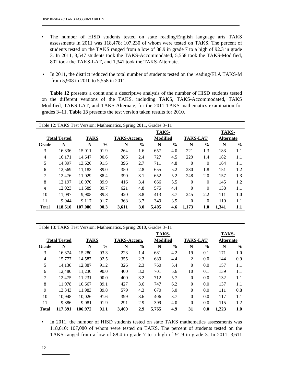- The number of HISD students tested on state reading/English language arts TAKS assessments in 2011 was 118,478; 107,230 of whom were tested on TAKS. The percent of students tested on the TAKS ranged from a low of 88.9 in grade 7 to a high of 92.3 in grade 3. In 2011, 3,547 students took the TAKS-Accommodated, 5,558 took the TAKS-Modified, 802 took the TAKS-LAT, and 1,341 took the TAKS-Alternate.
- In 2011, the district reduced the total number of students tested on the reading/ELA TAKS-M from 5,908 in 2010 to 5,558 in 2011.

**Table 12** presents a count and a descriptive analysis of the number of HISD students tested on the different versions of the TAKS, including TAKS, TAKS-Accommodated, TAKS Modified, TAKS-LAT, and TAKS-Alternate, for the 2011 TAKS mathematics examination for grades 3–11. **Table 13** presents the test version taken results for 2010.

| Table 12: TAKS Test Version: Mathematics, Spring 2011, Grades 3–11 |         |             |               |                |               |                 |               |                 |               |                  |               |  |
|--------------------------------------------------------------------|---------|-------------|---------------|----------------|---------------|-----------------|---------------|-----------------|---------------|------------------|---------------|--|
|                                                                    |         |             |               | TAKS-<br>TAKS- |               |                 |               |                 |               |                  |               |  |
| <b>Total Tested</b>                                                |         | <b>TAKS</b> |               | TAKS-Accom.    |               | <b>Modified</b> |               | <b>TAKS-LAT</b> |               | <b>Alternate</b> |               |  |
| Grade                                                              | N       | N           | $\frac{6}{9}$ | N              | $\frac{0}{0}$ | N               | $\frac{0}{0}$ | N               | $\frac{6}{9}$ | N                | $\frac{6}{9}$ |  |
| 3                                                                  | 16.336  | 15,011      | 91.9          | 264            | 1.6           | 657             | 4.0           | 221             | 1.3           | 183              | 1.1           |  |
| $\overline{4}$                                                     | 16,171  | 14,647      | 90.6          | 386            | 2.4           | 727             | 4.5           | 229             | 1.4           | 182              | 1.1           |  |
| 5                                                                  | 14.897  | 13,626      | 91.5          | 396            | 2.7           | 711             | 4.8           | $\Omega$        | $\Omega$      | 164              | 1.1           |  |
| 6                                                                  | 12.569  | 11,183      | 89.0          | 350            | 2.8           | 655             | 5.2           | 230             | 1.8           | 151              | 1.2           |  |
| 7                                                                  | 12,476  | 11,029      | 88.4          | 390            | 3.1           | 652             | 5.2           | 248             | 2.0           | 157              | 1.3           |  |
| 8                                                                  | 12.197  | 10.970      | 89.9          | 416            | 3.4           | 666             | 5.5           | $\Omega$        | $\Omega$      | 145              | 1.2           |  |
| 9                                                                  | 12,923  | 11,589      | 89.7          | 621            | 4.8           | 575             | 4.4           | $\Omega$        | $\Omega$      | 138              | 1.1           |  |
| 10                                                                 | 11.097  | 9.908       | 89.3          | 420            | 3.8           | 413             | 3.7           | 245             | 2.2           | 111              | 1.0           |  |
| 11                                                                 | 9.944   | 9.117       | 91.7          | 368            | 3.7           | 349             | 3.5           | $\Omega$        | $\theta$      | 110              | 1.1           |  |
| Total                                                              | 118,610 | 107.080     | 90.3          | 3,611          | 3.0           | 5.405           | 4.6           | 1.173           | 1.0           | 1.341            | 1.1           |  |

| Table 13: TAKS Test Version: Mathematics, Spring 2010, Grades 3-11 |         |                |               |             |               |          |               |                 |               |                  |               |  |
|--------------------------------------------------------------------|---------|----------------|---------------|-------------|---------------|----------|---------------|-----------------|---------------|------------------|---------------|--|
|                                                                    |         | TAKS-<br>TAKS- |               |             |               |          |               |                 |               |                  |               |  |
| <b>Total Tested</b>                                                |         | <b>TAKS</b>    |               | TAKS-Accom. |               | Modified |               | <b>TAKS-LAT</b> |               | <b>Alternate</b> |               |  |
| Grade                                                              | N       | N              | $\frac{6}{6}$ | N           | $\frac{6}{6}$ | N        | $\frac{6}{9}$ | N               | $\frac{6}{9}$ | N                | $\frac{6}{6}$ |  |
| 3                                                                  | 16.374  | 15,280         | 93.3          | 223         | 1.4           | 681      | 4.2           | 19              | 0.1           | 171              | 1.0           |  |
| 4                                                                  | 15,777  | 14.587         | 92.5          | 355         | 2.3           | 689      | 4.4           | $\overline{2}$  | 0.0           | 144              | 0.9           |  |
| 5                                                                  | 14.130  | 12.887         | 91.2          | 326         | 2.3           | 760      | 5.4           | $\Omega$        | 0.0           | 157              | 1.1           |  |
| 6                                                                  | 12.480  | 11,230         | 90.0          | 400         | 3.2           | 701      | 5.6           | 10              | 0.1           | 139              | 1.1           |  |
| 7                                                                  | 12.475  | 11,231         | 90.0          | 400         | 3.2           | 712      | 5.7           | $\Omega$        | 0.0           | 132              | 1.1           |  |
| 8                                                                  | 11.978  | 10.667         | 89.1          | 427         | 3.6           | 747      | 6.2           | $\overline{0}$  | 0.0           | 137              | 1.1           |  |
| 9                                                                  | 13.343  | 11,983         | 89.8          | 579         | 4.3           | 670      | 5.0           | $\Omega$        | 0.0           | 111              | 0.8           |  |
| 10                                                                 | 10.948  | 10.026         | 91.6          | 399         | 3.6           | 406      | 3.7           | $\Omega$        | 0.0           | 117              | 1.1           |  |
| 11                                                                 | 9.886   | 9.081          | 91.9          | 291         | 2.9           | 399      | 4.0           | $\Omega$        | 0.0           | 115              | 1.2           |  |
| <b>Total</b>                                                       | 117.391 | 106.972        | 91.1          | 3.400       | 2.9           | 5.765    | 4.9           | 31              | 0.0           | 1,223            | 1.0           |  |

• In 2011, the number of HISD students tested on state TAKS mathematics assessments was 118,610; 107,080 of whom were tested on TAKS. The percent of students tested on the TAKS ranged from a low of 88.4 in grade 7 to a high of 91.9 in grade 3. In 2011, 3,611